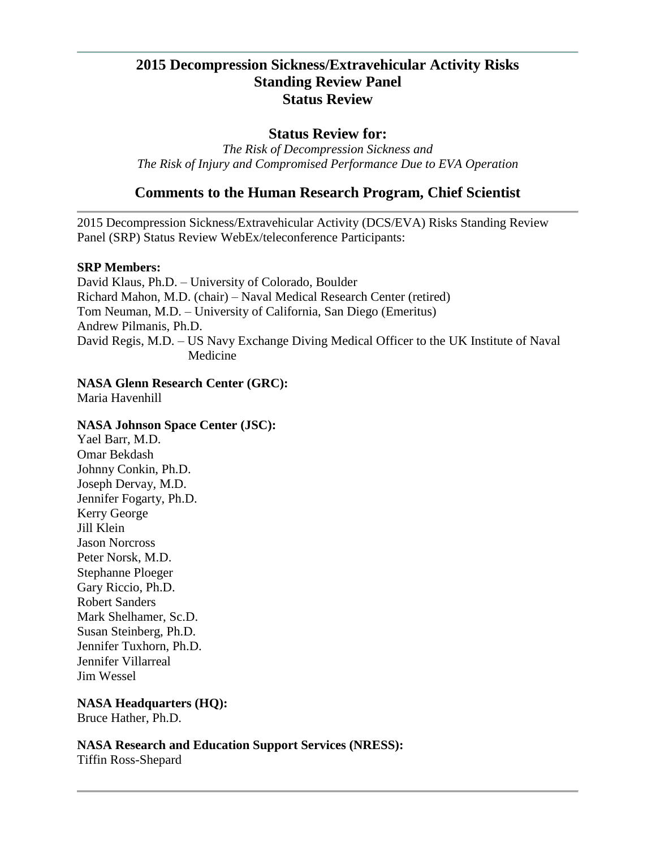# **2015 Decompression Sickness/Extravehicular Activity Risks Standing Review Panel Status Review**

### **Status Review for:**

*The Risk of Decompression Sickness and The Risk of Injury and Compromised Performance Due to EVA Operation*

## **Comments to the Human Research Program, Chief Scientist**

2015 Decompression Sickness/Extravehicular Activity (DCS/EVA) Risks Standing Review Panel (SRP) Status Review WebEx/teleconference Participants:

#### **SRP Members:**

David Klaus, Ph.D. – University of Colorado, Boulder Richard Mahon, M.D. (chair) – Naval Medical Research Center (retired) Tom Neuman, M.D. – University of California, San Diego (Emeritus) Andrew Pilmanis, Ph.D. David Regis, M.D. – US Navy Exchange Diving Medical Officer to the UK Institute of Naval Medicine

#### **NASA Glenn Research Center (GRC):**

Maria Havenhill

#### **NASA Johnson Space Center (JSC):**

Yael Barr, M.D. Omar Bekdash Johnny Conkin, Ph.D. Joseph Dervay, M.D. Jennifer Fogarty, Ph.D. Kerry George Jill Klein Jason Norcross Peter Norsk, M.D. Stephanne Ploeger Gary Riccio, Ph.D. Robert Sanders Mark Shelhamer, Sc.D. Susan Steinberg, Ph.D. Jennifer Tuxhorn, Ph.D. Jennifer Villarreal Jim Wessel

**NASA Headquarters (HQ):** Bruce Hather, Ph.D.

**NASA Research and Education Support Services (NRESS):**

Tiffin Ross-Shepard